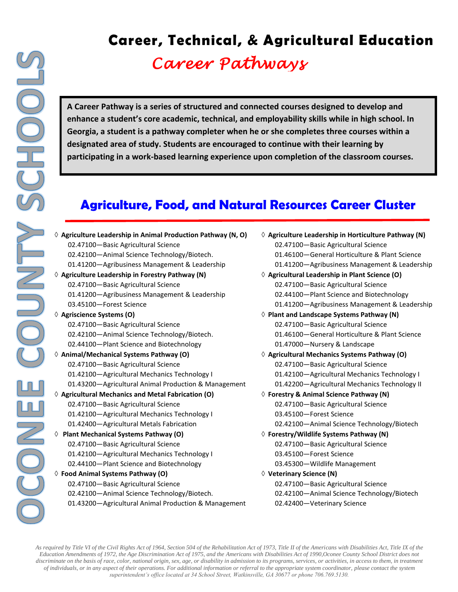# **Career, Technical, & Agricultural Education** *Career Pathways*

**A Career Pathway is a series of structured and connected courses designed to develop and enhance a student's core academic, technical, and employability skills while in high school. In Georgia, a student is a pathway completer when he or she completes three courses within a designated area of study. Students are encouraged to continue with their learning by participating in a work-based learning experience upon completion of the classroom courses.** 

# **Agriculture, Food, and Natural Resources Career Cluster**

| $\Diamond$ Agriculture Leadership in Animal Production Pathway (N, O) | $\Diamond$ A  |
|-----------------------------------------------------------------------|---------------|
| 02.47100-Basic Agricultural Science                                   |               |
| 02.42100-Animal Science Technology/Biotech.                           |               |
| 01.41200-Agribusiness Management & Leadership                         |               |
| $\Diamond$ Agriculture Leadership in Forestry Pathway (N)             | $\Diamond$ A  |
| 02.47100-Basic Agricultural Science                                   |               |
| 01.41200-Agribusiness Management & Leadership                         |               |
| 03.45100-Forest Science                                               |               |
| ♦ Agriscience Systems (O)                                             | $\Diamond$ P  |
| 02.47100-Basic Agricultural Science                                   |               |
| 02.42100-Animal Science Technology/Biotech.                           |               |
| 02.44100-Plant Science and Biotechnology                              |               |
| ◊ Animal/Mechanical Systems Pathway (O)                               | $\Diamond$ A  |
| 02.47100-Basic Agricultural Science                                   |               |
| 01.42100-Agricultural Mechanics Technology I                          |               |
| 01.43200-Agricultural Animal Production & Management                  |               |
| $\Diamond$ Agricultural Mechanics and Metal Fabrication (O)           | $\Diamond$ Fo |
| 02.47100-Basic Agricultural Science                                   |               |
| 01.42100-Agricultural Mechanics Technology I                          |               |
| 01.42400-Agricultural Metals Fabrication                              |               |
| $\Diamond$ Plant Mechanical Systems Pathway (O)                       | $\Diamond$ Fo |
| 02.47100-Basic Agricultural Science                                   |               |
| 01.42100-Agricultural Mechanics Technology I                          |               |
| 02.44100-Plant Science and Biotechnology                              |               |
| ♦ Food Animal Systems Pathway (O)                                     | $\Diamond$ V  |
| 02.47100-Basic Agricultural Science                                   |               |
| 02.42100-Animal Science Technology/Biotech.                           |               |
| 01.43200-Agricultural Animal Production & Management                  |               |

- **Agriculture Leadership in Horticulture Pathway (N)** 02.47100—Basic Agricultural Science 01.46100—General Horticulture & Plant Science 01.41200—Agribusiness Management & Leadership
- **Agricultural Leadership in Plant Science (O)** 02.47100—Basic Agricultural Science 02.44100—Plant Science and Biotechnology 01.41200—Agribusiness Management & Leadership
- **Plant and Landscape Systems Pathway (N)** 02.47100—Basic Agricultural Science 01.46100—General Horticulture & Plant Science 01.47000—Nursery & Landscape
- **Agricultural Mechanics Systems Pathway (O)** 02.47100—Basic Agricultural Science 01.42100—Agricultural Mechanics Technology I 01.42200—Agricultural Mechanics Technology II
- **Forestry & Animal Science Pathway (N)** 02.47100—Basic Agricultural Science 03.45100—Forest Science 02.42100—Animal Science Technology/Biotech
- **Forestry/Wildlife Systems Pathway (N)** 02.47100—Basic Agricultural Science 03.45100—Forest Science 03.45300—Wildlife Management
	- **Veterinary Science (N)** 02.47100—Basic Agricultural Science 02.42100—Animal Science Technology/Biotech 02.42400—Veterinary Science

• *As required by Title VI of the Civil Rights Act of 1964, Section 504 of the Rehabilitation Act of 1973, Title II of the Americans with Disabilities Act, Title IX of the Education Amendments of 1972, the Age Discrimination Act of 1975, and the Americans with Disabilities Act of 1990,Oconee County School District does not discriminate on the basis of race, color, national origin, sex, age, or disability in admission to its programs, services, or activities, in access to them, in treatment of individuals, or in any aspect of their operations. For additional information or referral to the appropriate system coordinator, please contact the system superintendent's office located at 34 School Street, Watkinsville, GA 30677 or phone 706.769.5130.*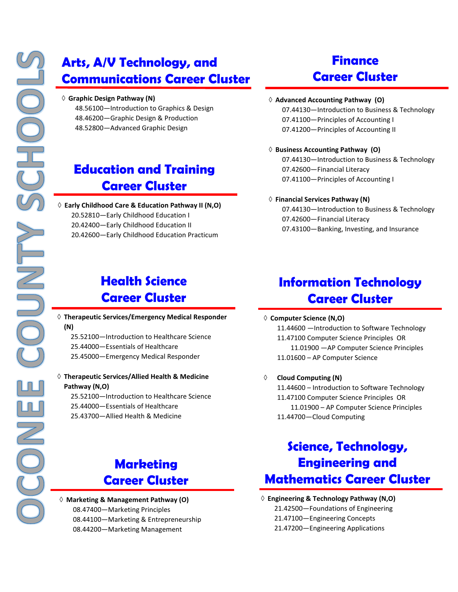# **Arts, A/V Technology, and Communications Career Cluster**

#### **Graphic Design Pathway (N)**

48.56100—Introduction to Graphics & Design 48.46200—Graphic Design & Production 48.52800—Advanced Graphic Design

# **Education and Training Career Cluster**

 **Early Childhood Care & Education Pathway II (N,O)** 20.52810—Early Childhood Education I 20.42400—Early Childhood Education II 20.42600—Early Childhood Education Practicum

### **Health Science Career Cluster**

- **Therapeutic Services/Emergency Medical Responder (N)**
	- 25.52100—Introduction to Healthcare Science
	- 25.44000—Essentials of Healthcare
	- 25.45000—Emergency Medical Responder

### **Therapeutic Services/Allied Health & Medicine Pathway (N,O)**

25.52100—Introduction to Healthcare Science 25.44000—Essentials of Healthcare 25.43700—Allied Health & Medicine

# **Marketing Career Cluster**

 **Marketing & Management Pathway (O)** 08.47400—Marketing Principles 08.44100—Marketing & Entrepreneurship 08.44200—Marketing Management

# **Finance Career Cluster**

#### **Advanced Accounting Pathway (O)**

07.44130—Introduction to Business & Technology 07.41100—Principles of Accounting I 07.41200—Principles of Accounting II

#### **Business Accounting Pathway (O)**

07.44130—Introduction to Business & Technology 07.42600—Financial Literacy 07.41100—Principles of Accounting I

#### **Financial Services Pathway (N)**

07.44130—Introduction to Business & Technology 07.42600—Financial Literacy 07.43100—Banking, Investing, and Insurance

### **Information Technology Career Cluster**

#### **Computer Science (N,O)**

11.44600 —Introduction to Software Technology 11.47100 Computer Science Principles OR 11.01900 —AP Computer Science Principles 11.01600 – AP Computer Science

#### **Cloud Computing (N)**

11.44600 – Introduction to Software Technology 11.47100 Computer Science Principles OR 11.01900 – AP Computer Science Principles 11.44700—Cloud Computing

# **Science, Technology, Engineering and Mathematics Career Cluster**

### **Engineering & Technology Pathway (N,O)**

21.42500—Foundations of Engineering

- 21.47100—Engineering Concepts
- 21.47200—Engineering Applications